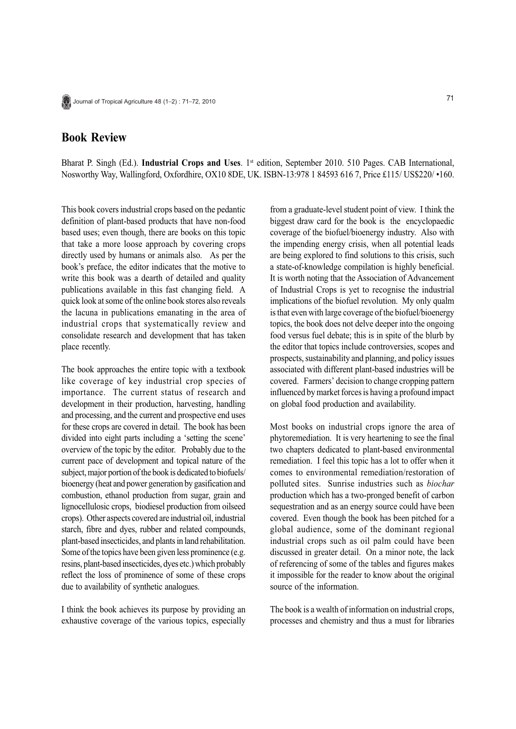## **Book Review**

Bharat P. Singh (Ed.). **Industrial Crops and Uses**. 1st edition, September 2010. 510 Pages. CAB International, Nosworthy Way, Wallingford, Oxfordhire, OX10 8DE, UK. ISBN-13:978 1 84593 616 7, Price £115/ US\$220/ •160.

This book covers industrial crops based on the pedantic definition of plant-based products that have non-food based uses; even though, there are books on this topic that take a more loose approach by covering crops directly used by humans or animals also. As per the book's preface, the editor indicates that the motive to write this book was a dearth of detailed and quality publications available in this fast changing field. A quick look at some of the online book stores also reveals the lacuna in publications emanating in the area of industrial crops that systematically review and consolidate research and development that has taken place recently.

The book approaches the entire topic with a textbook like coverage of key industrial crop species of importance. The current status of research and development in their production, harvesting, handling and processing, and the current and prospective end uses for these crops are covered in detail. The book has been divided into eight parts including a 'setting the scene' overview of the topic by the editor. Probably due to the current pace of development and topical nature of the subject, major portion of the book is dedicated to biofuels/ bioenergy (heat and power generation by gasification and combustion, ethanol production from sugar, grain and lignocellulosic crops, biodiesel production from oilseed crops). Other aspects covered are industrial oil, industrial starch, fibre and dyes, rubber and related compounds, plant-based insecticides, and plants in land rehabilitation. Some of the topics have been given less prominence (e.g. resins, plant-based insecticides, dyes etc.) which probably reflect the loss of prominence of some of these crops due to availability of synthetic analogues.

I think the book achieves its purpose by providing an exhaustive coverage of the various topics, especially from a graduate-level student point of view. I think the biggest draw card for the book is the encyclopaedic coverage of the biofuel/bioenergy industry. Also with the impending energy crisis, when all potential leads are being explored to find solutions to this crisis, such a state-of-knowledge compilation is highly beneficial. It is worth noting that the Association of Advancement of Industrial Crops is yet to recognise the industrial implications of the biofuel revolution. My only qualm is that even with large coverage of the biofuel/bioenergy topics, the book does not delve deeper into the ongoing food versus fuel debate; this is in spite of the blurb by the editor that topics include controversies, scopes and prospects, sustainability and planning, and policy issues associated with different plant-based industries will be covered. Farmers' decision to change cropping pattern influenced by market forces is having a profound impact on global food production and availability.

Most books on industrial crops ignore the area of phytoremediation. It is very heartening to see the final two chapters dedicated to plant-based environmental remediation. I feel this topic has a lot to offer when it comes to environmental remediation/restoration of polluted sites. Sunrise industries such as *biochar* production which has a two-pronged benefit of carbon sequestration and as an energy source could have been covered. Even though the book has been pitched for a global audience, some of the dominant regional industrial crops such as oil palm could have been discussed in greater detail. On a minor note, the lack of referencing of some of the tables and figures makes it impossible for the reader to know about the original source of the information.

The book is a wealth of information on industrial crops, processes and chemistry and thus a must for libraries